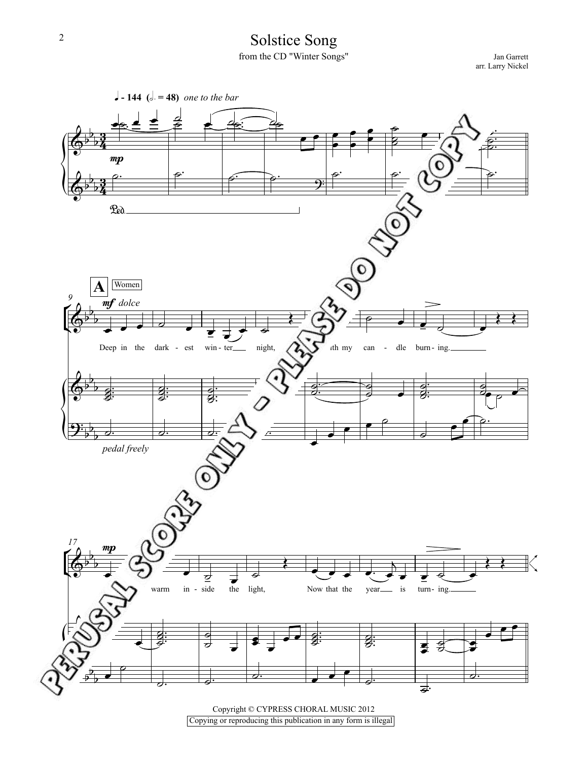Solstice Song

from the CD "Winter Songs" Jan Garrett

arr. Larry Nickel

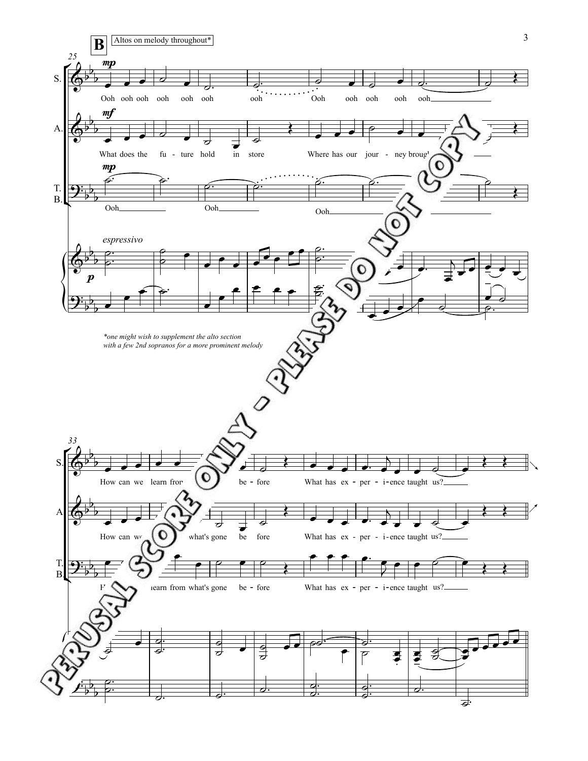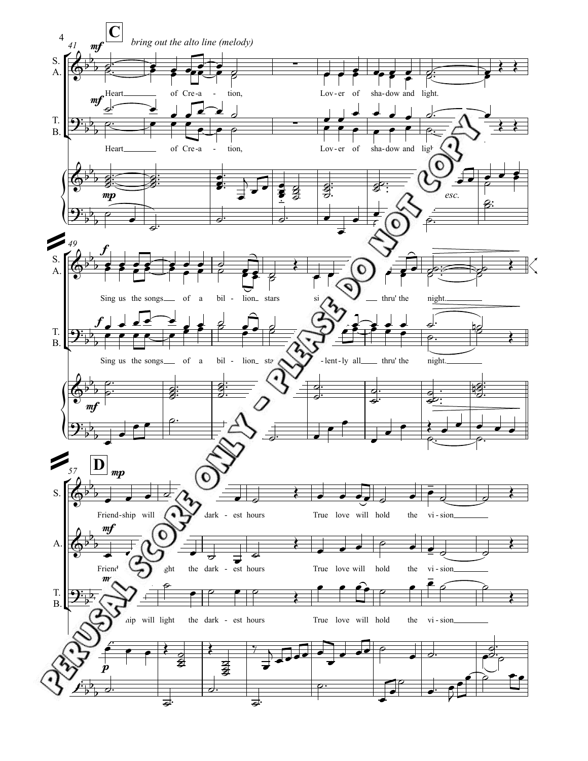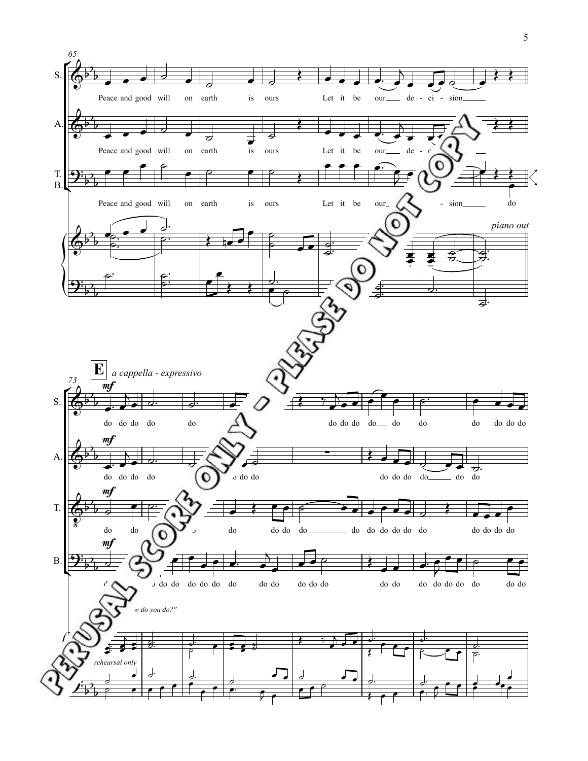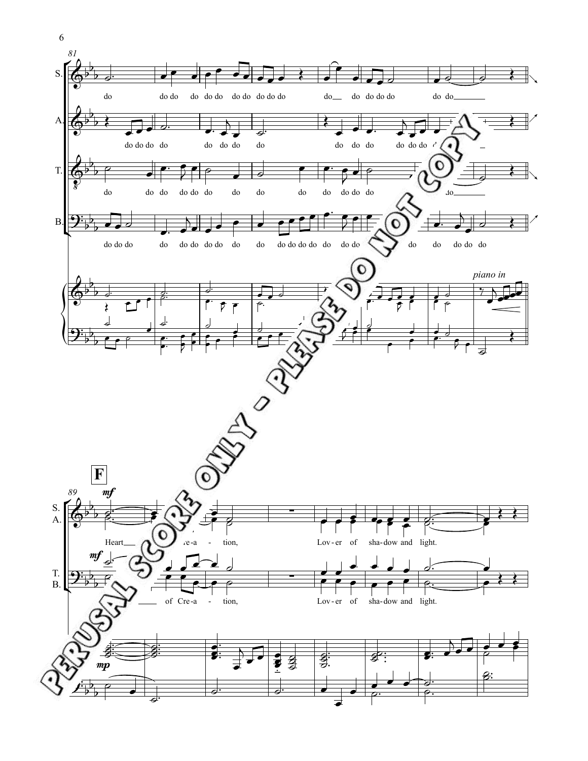

6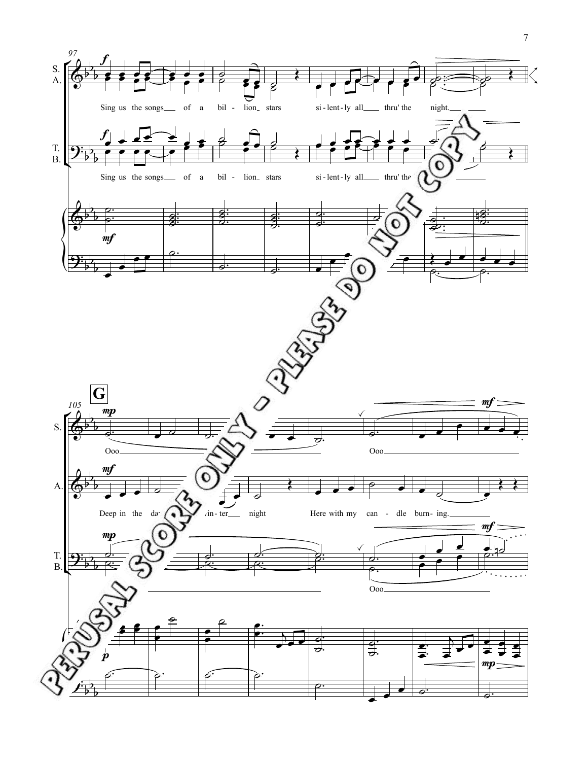